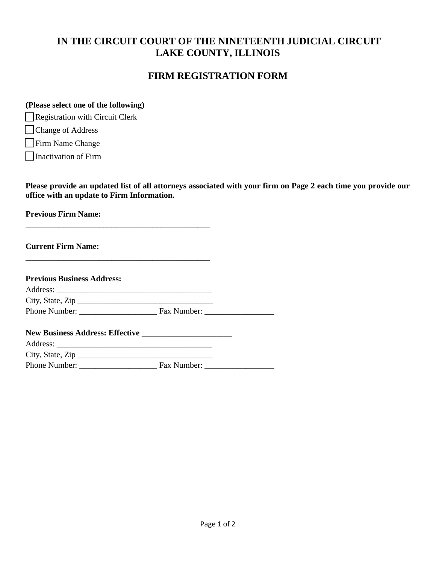# **IN THE CIRCUIT COURT OF THE NINETEENTH JUDICIAL CIRCUIT LAKE COUNTY, ILLINOIS**

### **FIRM REGISTRATION FORM**

#### **(Please select one of the following)**

□ Registration with Circuit Clerk

□ Change of Address

□ Firm Name Change

□ Inactivation of Firm

**Please provide an updated list of all attorneys associated with your firm on Page 2 each time you provide our office with an update to Firm Information.**

**Previous Firm Name:** 

**Current Firm Name:** 

| <b>Previous Business Address:</b> |                      |  |
|-----------------------------------|----------------------|--|
|                                   |                      |  |
| City, State, Zip                  |                      |  |
|                                   |                      |  |
|                                   |                      |  |
|                                   |                      |  |
| City, State, $\mathsf{Zip} \_$    |                      |  |
| Phone Number:                     | Fax Number: ________ |  |

**\_\_\_\_\_\_\_\_\_\_\_\_\_\_\_\_\_\_\_\_\_\_\_\_\_\_\_\_\_\_\_\_\_\_\_\_\_\_\_\_\_\_\_\_\_** 

**\_\_\_\_\_\_\_\_\_\_\_\_\_\_\_\_\_\_\_\_\_\_\_\_\_\_\_\_\_\_\_\_\_\_\_\_\_\_\_\_\_\_\_\_\_**